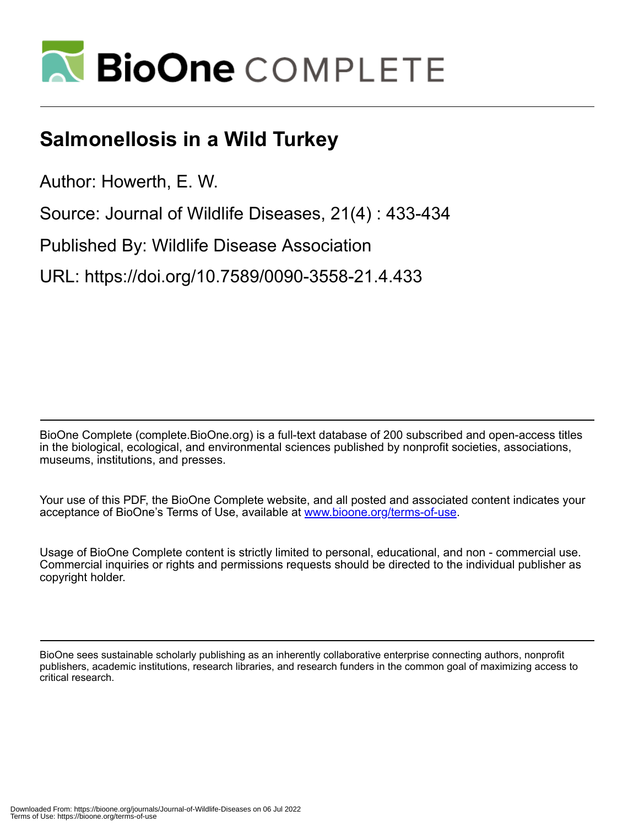

## **Salmonellosis in a Wild Turkey**

Author: Howerth, E. W.

Source: Journal of Wildlife Diseases, 21(4) : 433-434

Published By: Wildlife Disease Association

URL: https://doi.org/10.7589/0090-3558-21.4.433

BioOne Complete (complete.BioOne.org) is a full-text database of 200 subscribed and open-access titles in the biological, ecological, and environmental sciences published by nonprofit societies, associations, museums, institutions, and presses.

Your use of this PDF, the BioOne Complete website, and all posted and associated content indicates your acceptance of BioOne's Terms of Use, available at www.bioone.org/terms-of-use.

Usage of BioOne Complete content is strictly limited to personal, educational, and non - commercial use. Commercial inquiries or rights and permissions requests should be directed to the individual publisher as copyright holder.

BioOne sees sustainable scholarly publishing as an inherently collaborative enterprise connecting authors, nonprofit publishers, academic institutions, research libraries, and research funders in the common goal of maximizing access to critical research.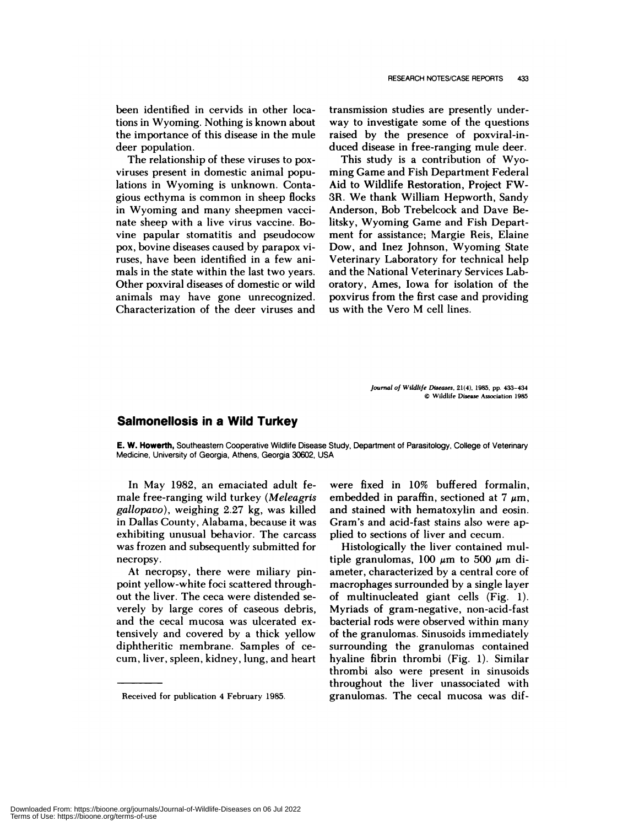been identified in cenvids in other locations in Wyoming. Nothing is known about the importance of this disease in the mule deer population.

The relationship of these viruses to poxviruses present in domestic animal populations in Wyoming is unknown. Contagious ecthyma is common in sheep flocks in Wyoming and many sheepmen vaccinate sheep with a live virus vaccine. Bovine papular stomatitis and pseudocow pox, bovine diseases caused by parapox viruses, have been identified in a few animals in the state within the last two years. Other poxviral diseases of domestic or wild animals may have gone unrecognized. Characterization of the deer viruses and

transmission studies are presently underway to investigate some of the questions raised by the presence of poxviral-induced disease in free-ranging mule deer.

This study is a contribution of Wyoming Game and Fish Department Federal Aid to Wildlife Restoration, Project FW-3R. We thank William Hepworth, Sandy Anderson, Bob Trebelcock and Dave Be litsky, Wyoming Game and Fish Department for assistance; Margie Reis, Elaine Dow, and Inez Johnson, Wyoming State Veterinary Laboratory for technical help and the National Veterinary Services Laboratory, Ames, Iowa for isolation of the poxvirus from the first case and providing us with the Vero M cell lines.

> *Journal of Wildlife Diseases,* **21(4),** 1985, **pp.** 433-434 © Wildlife Disease Association 1985

## **Salmonellosis in a Wild Turkey**

**E. W.** Howerth, Southeastern Cooperative Wildlife Disease Study, Department of Parasitology, College of Veterinary Medicine, University of Georgia, Athens, Georgia 30602, USA

In May 1982, an emaciated adult female free-ranging wild turkey *(Meleagris gallopavo),* weighing 2.27 kg, was killed in Dallas County, Alabama, because it was exhibiting unusual behavior. The carcass was frozen and subsequently submitted for necropsy.

At necropsy, there were miliary pinpoint yellow-white foci scattered throughout the liver. The ceca were distended se verely by large cores of caseous debris, and the cecal mucosa was ulcerated extensively and covered by a thick yellow diphthenitic membrane. Samples of ce cum, liven, spleen, kidney, lung, and heart were fixed in 10% buffered formalin, embedded in paraffin, sectioned at 7  $\mu$ m, and stained with hematoxylin and eosin. Gram's and acid-fast stains also were applied to sections of liven and cecum.

Histologically the liver contained multiple granulomas, 100  $\mu$ m to 500  $\mu$ m diameter, characterized by a central core of macrophages surrounded by a single layer of multinucleated giant cells (Fig. 1). Myniads of gram-negative, non-acid-fast bacterial rods were observed within many of the granulomas. Sinusoids immediately surrounding the granulomas contained hyaline fibrin thrombi (Fig. 1). Similar thrombi also were present in sinusoids throughout the liver unassociated with granulomas. The cecal mucosa was dif-

Received for publication 4 February 1985.